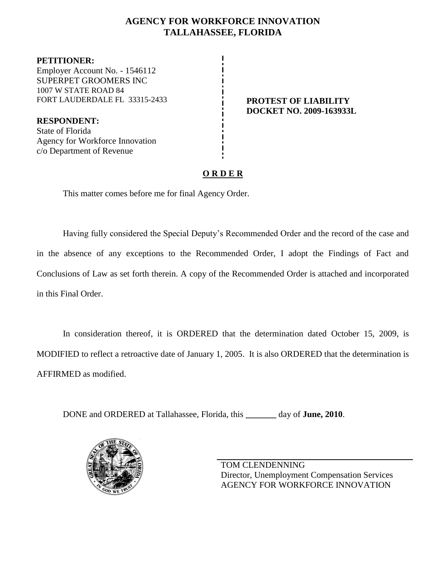## **AGENCY FOR WORKFORCE INNOVATION TALLAHASSEE, FLORIDA**

**PETITIONER:** Employer Account No. - 1546112 SUPERPET GROOMERS INC 1007 W STATE ROAD 84 FORT LAUDERDALE FL 33315-2433 **PROTEST OF LIABILITY**

**RESPONDENT:** State of Florida Agency for Workforce Innovation c/o Department of Revenue

# **DOCKET NO. 2009-163933L**

## **O R D E R**

This matter comes before me for final Agency Order.

Having fully considered the Special Deputy's Recommended Order and the record of the case and in the absence of any exceptions to the Recommended Order, I adopt the Findings of Fact and Conclusions of Law as set forth therein. A copy of the Recommended Order is attached and incorporated in this Final Order.

In consideration thereof, it is ORDERED that the determination dated October 15, 2009, is MODIFIED to reflect a retroactive date of January 1, 2005. It is also ORDERED that the determination is AFFIRMED as modified.

DONE and ORDERED at Tallahassee, Florida, this **\_\_\_\_\_\_\_** day of **June, 2010**.



TOM CLENDENNING Director, Unemployment Compensation Services AGENCY FOR WORKFORCE INNOVATION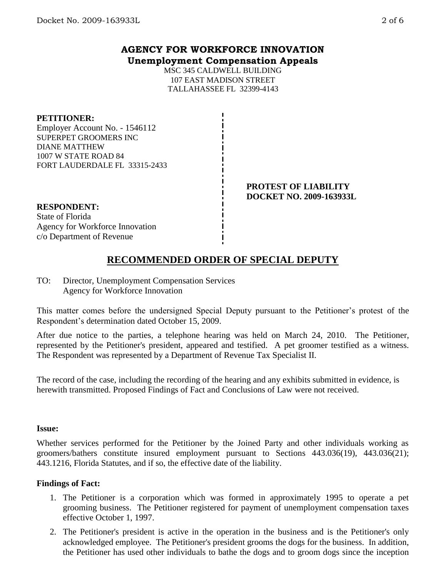## **AGENCY FOR WORKFORCE INNOVATION Unemployment Compensation Appeals**

MSC 345 CALDWELL BUILDING 107 EAST MADISON STREET TALLAHASSEE FL 32399-4143

### **PETITIONER:**

Employer Account No. - 1546112 SUPERPET GROOMERS INC DIANE MATTHEW 1007 W STATE ROAD 84 FORT LAUDERDALE FL 33315-2433

> **PROTEST OF LIABILITY DOCKET NO. 2009-163933L**

#### **RESPONDENT:**

State of Florida Agency for Workforce Innovation c/o Department of Revenue

# **RECOMMENDED ORDER OF SPECIAL DEPUTY**

TO: Director, Unemployment Compensation Services Agency for Workforce Innovation

This matter comes before the undersigned Special Deputy pursuant to the Petitioner's protest of the Respondent's determination dated October 15, 2009.

After due notice to the parties, a telephone hearing was held on March 24, 2010. The Petitioner, represented by the Petitioner's president, appeared and testified. A pet groomer testified as a witness. The Respondent was represented by a Department of Revenue Tax Specialist II.

The record of the case, including the recording of the hearing and any exhibits submitted in evidence, is herewith transmitted. Proposed Findings of Fact and Conclusions of Law were not received.

#### **Issue:**

Whether services performed for the Petitioner by the Joined Party and other individuals working as groomers/bathers constitute insured employment pursuant to Sections 443.036(19), 443.036(21); 443.1216, Florida Statutes, and if so, the effective date of the liability.

#### **Findings of Fact:**

- 1. The Petitioner is a corporation which was formed in approximately 1995 to operate a pet grooming business. The Petitioner registered for payment of unemployment compensation taxes effective October 1, 1997.
- 2. The Petitioner's president is active in the operation in the business and is the Petitioner's only acknowledged employee. The Petitioner's president grooms the dogs for the business. In addition, the Petitioner has used other individuals to bathe the dogs and to groom dogs since the inception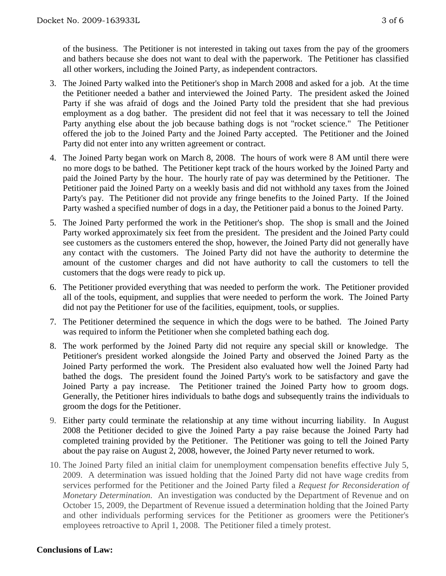of the business. The Petitioner is not interested in taking out taxes from the pay of the groomers and bathers because she does not want to deal with the paperwork. The Petitioner has classified all other workers, including the Joined Party, as independent contractors.

- 3. The Joined Party walked into the Petitioner's shop in March 2008 and asked for a job. At the time the Petitioner needed a bather and interviewed the Joined Party. The president asked the Joined Party if she was afraid of dogs and the Joined Party told the president that she had previous employment as a dog bather. The president did not feel that it was necessary to tell the Joined Party anything else about the job because bathing dogs is not "rocket science." The Petitioner offered the job to the Joined Party and the Joined Party accepted. The Petitioner and the Joined Party did not enter into any written agreement or contract.
- 4. The Joined Party began work on March 8, 2008. The hours of work were 8 AM until there were no more dogs to be bathed. The Petitioner kept track of the hours worked by the Joined Party and paid the Joined Party by the hour. The hourly rate of pay was determined by the Petitioner. The Petitioner paid the Joined Party on a weekly basis and did not withhold any taxes from the Joined Party's pay. The Petitioner did not provide any fringe benefits to the Joined Party. If the Joined Party washed a specified number of dogs in a day, the Petitioner paid a bonus to the Joined Party.
- 5. The Joined Party performed the work in the Petitioner's shop. The shop is small and the Joined Party worked approximately six feet from the president. The president and the Joined Party could see customers as the customers entered the shop, however, the Joined Party did not generally have any contact with the customers. The Joined Party did not have the authority to determine the amount of the customer charges and did not have authority to call the customers to tell the customers that the dogs were ready to pick up.
- 6. The Petitioner provided everything that was needed to perform the work. The Petitioner provided all of the tools, equipment, and supplies that were needed to perform the work. The Joined Party did not pay the Petitioner for use of the facilities, equipment, tools, or supplies.
- 7. The Petitioner determined the sequence in which the dogs were to be bathed. The Joined Party was required to inform the Petitioner when she completed bathing each dog.
- 8. The work performed by the Joined Party did not require any special skill or knowledge. The Petitioner's president worked alongside the Joined Party and observed the Joined Party as the Joined Party performed the work. The President also evaluated how well the Joined Party had bathed the dogs. The president found the Joined Party's work to be satisfactory and gave the Joined Party a pay increase. The Petitioner trained the Joined Party how to groom dogs. Generally, the Petitioner hires individuals to bathe dogs and subsequently trains the individuals to groom the dogs for the Petitioner.
- 9. Either party could terminate the relationship at any time without incurring liability. In August 2008 the Petitioner decided to give the Joined Party a pay raise because the Joined Party had completed training provided by the Petitioner. The Petitioner was going to tell the Joined Party about the pay raise on August 2, 2008, however, the Joined Party never returned to work.
- 10. The Joined Party filed an initial claim for unemployment compensation benefits effective July 5, 2009. A determination was issued holding that the Joined Party did not have wage credits from services performed for the Petitioner and the Joined Party filed a *Request for Reconsideration of Monetary Determination.* An investigation was conducted by the Department of Revenue and on October 15, 2009, the Department of Revenue issued a determination holding that the Joined Party and other individuals performing services for the Petitioner as groomers were the Petitioner's employees retroactive to April 1, 2008. The Petitioner filed a timely protest.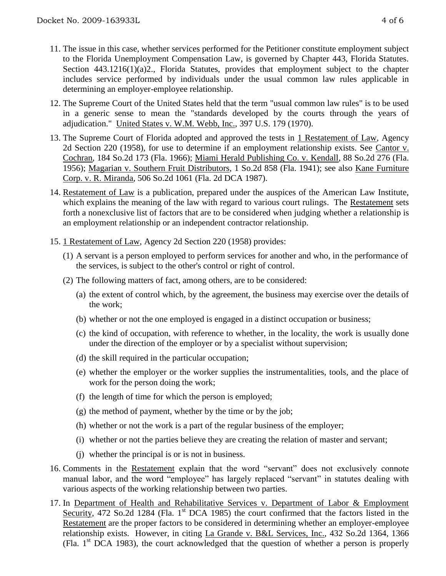- 11. The issue in this case, whether services performed for the Petitioner constitute employment subject to the Florida Unemployment Compensation Law, is governed by Chapter 443, Florida Statutes. Section 443.1216(1)(a)2., Florida Statutes, provides that employment subject to the chapter includes service performed by individuals under the usual common law rules applicable in determining an employer-employee relationship.
- 12. The Supreme Court of the United States held that the term "usual common law rules" is to be used in a generic sense to mean the "standards developed by the courts through the years of adjudication." United States v. W.M. Webb, Inc., 397 U.S. 179 (1970).
- 13. The Supreme Court of Florida adopted and approved the tests in 1 Restatement of Law, Agency 2d Section 220 (1958), for use to determine if an employment relationship exists. See Cantor v. Cochran, 184 So.2d 173 (Fla. 1966); Miami Herald Publishing Co. v. Kendall, 88 So.2d 276 (Fla. 1956); Magarian v. Southern Fruit Distributors, 1 So.2d 858 (Fla. 1941); see also Kane Furniture Corp. v. R. Miranda, 506 So.2d 1061 (Fla. 2d DCA 1987).
- 14. Restatement of Law is a publication, prepared under the auspices of the American Law Institute, which explains the meaning of the law with regard to various court rulings. The Restatement sets forth a nonexclusive list of factors that are to be considered when judging whether a relationship is an employment relationship or an independent contractor relationship.
- 15. 1 Restatement of Law, Agency 2d Section 220 (1958) provides:
	- (1) A servant is a person employed to perform services for another and who, in the performance of the services, is subject to the other's control or right of control.
	- (2) The following matters of fact, among others, are to be considered:
		- (a) the extent of control which, by the agreement, the business may exercise over the details of the work;
		- (b) whether or not the one employed is engaged in a distinct occupation or business;
		- (c) the kind of occupation, with reference to whether, in the locality, the work is usually done under the direction of the employer or by a specialist without supervision;
		- (d) the skill required in the particular occupation;
		- (e) whether the employer or the worker supplies the instrumentalities, tools, and the place of work for the person doing the work;
		- (f) the length of time for which the person is employed;
		- (g) the method of payment, whether by the time or by the job;
		- (h) whether or not the work is a part of the regular business of the employer;
		- (i) whether or not the parties believe they are creating the relation of master and servant;
		- (j) whether the principal is or is not in business.
- 16. Comments in the Restatement explain that the word "servant" does not exclusively connote manual labor, and the word "employee" has largely replaced "servant" in statutes dealing with various aspects of the working relationship between two parties.
- 17. In Department of Health and Rehabilitative Services v. Department of Labor & Employment Security, 472 So.2d 1284 (Fla. 1<sup>st</sup> DCA 1985) the court confirmed that the factors listed in the Restatement are the proper factors to be considered in determining whether an employer-employee relationship exists. However, in citing La Grande v. B&L Services, Inc., 432 So.2d 1364, 1366 (Fla. 1st DCA 1983), the court acknowledged that the question of whether a person is properly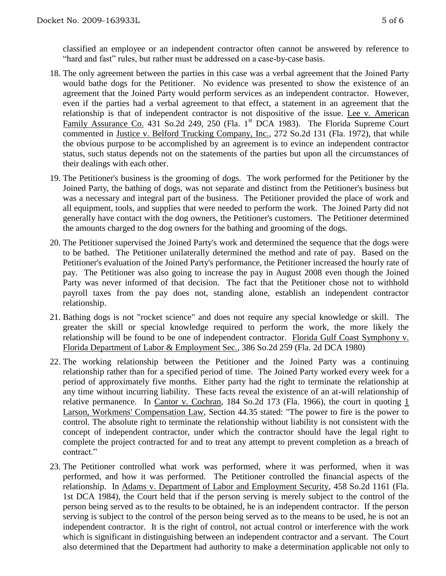- 18. The only agreement between the parties in this case was a verbal agreement that the Joined Party would bathe dogs for the Petitioner. No evidence was presented to show the existence of an agreement that the Joined Party would perform services as an independent contractor. However, even if the parties had a verbal agreement to that effect, a statement in an agreement that the relationship is that of independent contractor is not dispositive of the issue. Lee v. American Family Assurance Co. 431 So.2d 249, 250 (Fla. 1<sup>st</sup> DCA 1983). The Florida Supreme Court commented in Justice v. Belford Trucking Company, Inc., 272 So.2d 131 (Fla. 1972), that while the obvious purpose to be accomplished by an agreement is to evince an independent contractor status, such status depends not on the statements of the parties but upon all the circumstances of their dealings with each other.
- 19. The Petitioner's business is the grooming of dogs. The work performed for the Petitioner by the Joined Party, the bathing of dogs, was not separate and distinct from the Petitioner's business but was a necessary and integral part of the business. The Petitioner provided the place of work and all equipment, tools, and supplies that were needed to perform the work. The Joined Party did not generally have contact with the dog owners, the Petitioner's customers. The Petitioner determined the amounts charged to the dog owners for the bathing and grooming of the dogs.
- 20. The Petitioner supervised the Joined Party's work and determined the sequence that the dogs were to be bathed. The Petitioner unilaterally determined the method and rate of pay. Based on the Petitioner's evaluation of the Joined Party's performance, the Petitioner increased the hourly rate of pay. The Petitioner was also going to increase the pay in August 2008 even though the Joined Party was never informed of that decision. The fact that the Petitioner chose not to withhold payroll taxes from the pay does not, standing alone, establish an independent contractor relationship.
- 21. Bathing dogs is not "rocket science" and does not require any special knowledge or skill. The greater the skill or special knowledge required to perform the work, the more likely the relationship will be found to be one of independent contractor. Florida Gulf Coast Symphony v. Florida Department of Labor & Employment Sec., 386 So.2d 259 (Fla. 2d DCA 1980)
- 22. The working relationship between the Petitioner and the Joined Party was a continuing relationship rather than for a specified period of time. The Joined Party worked every week for a period of approximately five months. Either party had the right to terminate the relationship at any time without incurring liability. These facts reveal the existence of an at-will relationship of relative permanence. In Cantor v. Cochran, 184 So.2d 173 (Fla. 1966), the court in quoting  $1$ Larson, Workmens' Compensation Law, Section 44.35 stated: "The power to fire is the power to control. The absolute right to terminate the relationship without liability is not consistent with the concept of independent contractor, under which the contractor should have the legal right to complete the project contracted for and to treat any attempt to prevent completion as a breach of contract."
- 23. The Petitioner controlled what work was performed, where it was performed, when it was performed, and how it was performed. The Petitioner controlled the financial aspects of the relationship. In Adams v. Department of Labor and Employment Security, 458 So.2d 1161 (Fla. 1st DCA 1984), the Court held that if the person serving is merely subject to the control of the person being served as to the results to be obtained, he is an independent contractor. If the person serving is subject to the control of the person being served as to the means to be used, he is not an independent contractor. It is the right of control, not actual control or interference with the work which is significant in distinguishing between an independent contractor and a servant. The Court also determined that the Department had authority to make a determination applicable not only to